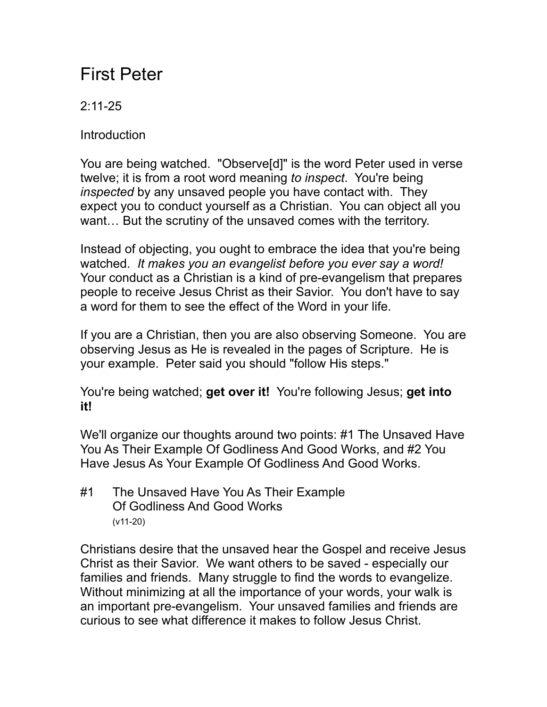## First Peter

## $2.11 - 25$

**Introduction** 

You are being watched. "Observe[d]" is the word Peter used in verse twelve; it is from a root word meaning *to inspect*. You're being *inspected* by any unsaved people you have contact with. They expect you to conduct yourself as a Christian. You can object all you want… But the scrutiny of the unsaved comes with the territory.

Instead of objecting, you ought to embrace the idea that you're being watched. *It makes you an evangelist before you ever say a word!* Your conduct as a Christian is a kind of pre-evangelism that prepares people to receive Jesus Christ as their Savior. You don't have to say a word for them to see the effect of the Word in your life.

If you are a Christian, then you are also observing Someone. You are observing Jesus as He is revealed in the pages of Scripture. He is your example. Peter said you should "follow His steps."

You're being watched; **get over it!** You're following Jesus; **get into it!**

We'll organize our thoughts around two points: #1 The Unsaved Have You As Their Example Of Godliness And Good Works, and #2 You Have Jesus As Your Example Of Godliness And Good Works.

#1 The Unsaved Have You As Their Example Of Godliness And Good Works (v11-20)

Christians desire that the unsaved hear the Gospel and receive Jesus Christ as their Savior. We want others to be saved - especially our families and friends. Many struggle to find the words to evangelize. Without minimizing at all the importance of your words, your walk is an important pre-evangelism. Your unsaved families and friends are curious to see what difference it makes to follow Jesus Christ.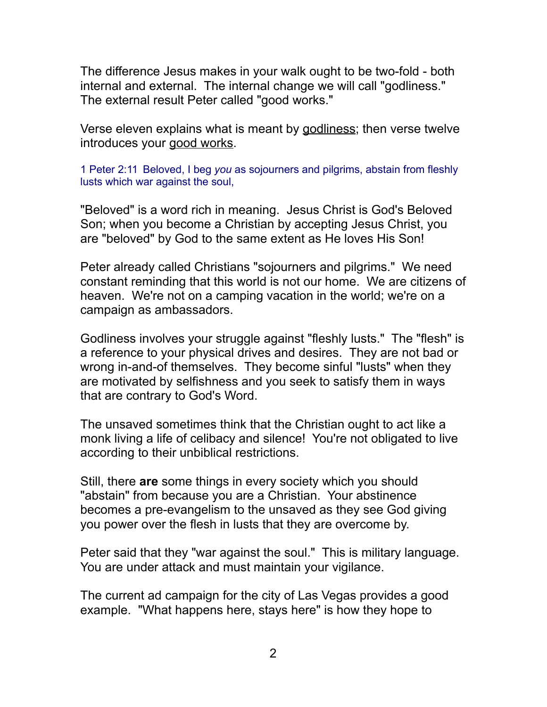The difference Jesus makes in your walk ought to be two-fold - both internal and external. The internal change we will call "godliness." The external result Peter called "good works."

Verse eleven explains what is meant by godliness; then verse twelve introduces your good works.

1 Peter 2:11 Beloved, I beg *you* as sojourners and pilgrims, abstain from fleshly lusts which war against the soul,

"Beloved" is a word rich in meaning. Jesus Christ is God's Beloved Son; when you become a Christian by accepting Jesus Christ, you are "beloved" by God to the same extent as He loves His Son!

Peter already called Christians "sojourners and pilgrims." We need constant reminding that this world is not our home. We are citizens of heaven. We're not on a camping vacation in the world; we're on a campaign as ambassadors.

Godliness involves your struggle against "fleshly lusts." The "flesh" is a reference to your physical drives and desires. They are not bad or wrong in-and-of themselves. They become sinful "lusts" when they are motivated by selfishness and you seek to satisfy them in ways that are contrary to God's Word.

The unsaved sometimes think that the Christian ought to act like a monk living a life of celibacy and silence! You're not obligated to live according to their unbiblical restrictions.

Still, there **are** some things in every society which you should "abstain" from because you are a Christian. Your abstinence becomes a pre-evangelism to the unsaved as they see God giving you power over the flesh in lusts that they are overcome by.

Peter said that they "war against the soul." This is military language. You are under attack and must maintain your vigilance.

The current ad campaign for the city of Las Vegas provides a good example. "What happens here, stays here" is how they hope to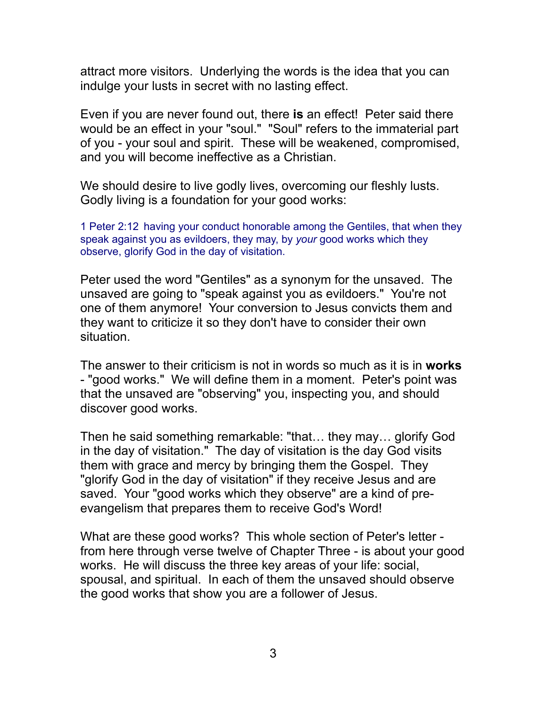attract more visitors. Underlying the words is the idea that you can indulge your lusts in secret with no lasting effect.

Even if you are never found out, there **is** an effect! Peter said there would be an effect in your "soul." "Soul" refers to the immaterial part of you - your soul and spirit. These will be weakened, compromised, and you will become ineffective as a Christian.

We should desire to live godly lives, overcoming our fleshly lusts. Godly living is a foundation for your good works:

1 Peter 2:12 having your conduct honorable among the Gentiles, that when they speak against you as evildoers, they may, by *your* good works which they observe, glorify God in the day of visitation.

Peter used the word "Gentiles" as a synonym for the unsaved. The unsaved are going to "speak against you as evildoers." You're not one of them anymore! Your conversion to Jesus convicts them and they want to criticize it so they don't have to consider their own situation.

The answer to their criticism is not in words so much as it is in **works** - "good works." We will define them in a moment. Peter's point was that the unsaved are "observing" you, inspecting you, and should discover good works.

Then he said something remarkable: "that… they may… glorify God in the day of visitation." The day of visitation is the day God visits them with grace and mercy by bringing them the Gospel. They "glorify God in the day of visitation" if they receive Jesus and are saved. Your "good works which they observe" are a kind of preevangelism that prepares them to receive God's Word!

What are these good works? This whole section of Peter's letter from here through verse twelve of Chapter Three - is about your good works. He will discuss the three key areas of your life: social, spousal, and spiritual. In each of them the unsaved should observe the good works that show you are a follower of Jesus.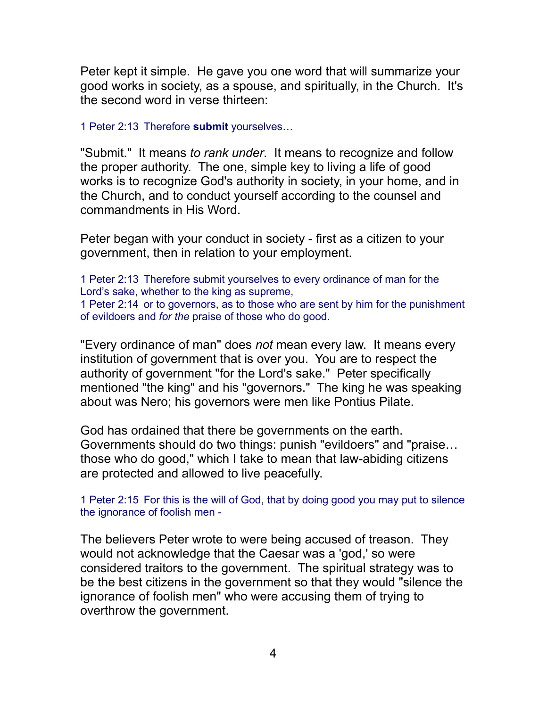Peter kept it simple. He gave you one word that will summarize your good works in society, as a spouse, and spiritually, in the Church. It's the second word in verse thirteen:

1 Peter 2:13 Therefore **submit** yourselves…

"Submit." It means *to rank under*. It means to recognize and follow the proper authority. The one, simple key to living a life of good works is to recognize God's authority in society, in your home, and in the Church, and to conduct yourself according to the counsel and commandments in His Word.

Peter began with your conduct in society - first as a citizen to your government, then in relation to your employment.

1 Peter 2:13 Therefore submit yourselves to every ordinance of man for the Lord's sake, whether to the king as supreme, 1 Peter 2:14 or to governors, as to those who are sent by him for the punishment of evildoers and *for the* praise of those who do good.

"Every ordinance of man" does *not* mean every law. It means every institution of government that is over you. You are to respect the authority of government "for the Lord's sake." Peter specifically mentioned "the king" and his "governors." The king he was speaking about was Nero; his governors were men like Pontius Pilate.

God has ordained that there be governments on the earth. Governments should do two things: punish "evildoers" and "praise… those who do good," which I take to mean that law-abiding citizens are protected and allowed to live peacefully.

1 Peter 2:15 For this is the will of God, that by doing good you may put to silence the ignorance of foolish men -

The believers Peter wrote to were being accused of treason. They would not acknowledge that the Caesar was a 'god,' so were considered traitors to the government. The spiritual strategy was to be the best citizens in the government so that they would "silence the ignorance of foolish men" who were accusing them of trying to overthrow the government.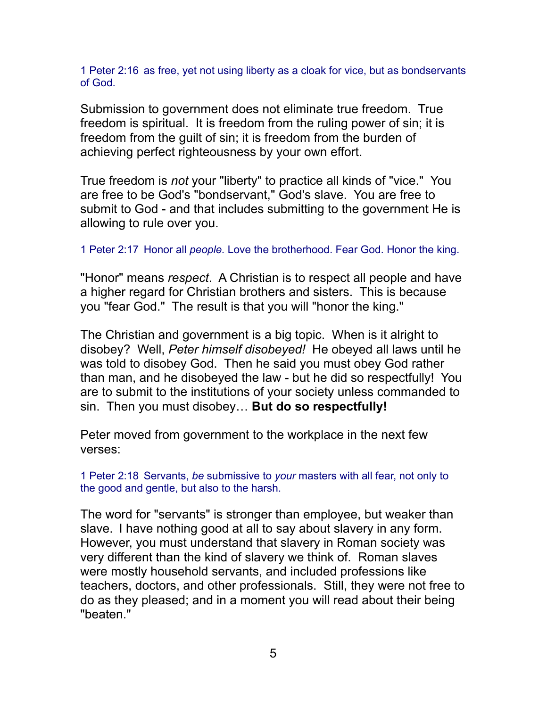1 Peter 2:16 as free, yet not using liberty as a cloak for vice, but as bondservants of God.

Submission to government does not eliminate true freedom. True freedom is spiritual. It is freedom from the ruling power of sin; it is freedom from the guilt of sin; it is freedom from the burden of achieving perfect righteousness by your own effort.

True freedom is *not* your "liberty" to practice all kinds of "vice." You are free to be God's "bondservant," God's slave. You are free to submit to God - and that includes submitting to the government He is allowing to rule over you.

1 Peter 2:17 Honor all *people.* Love the brotherhood. Fear God. Honor the king.

"Honor" means *respect*. A Christian is to respect all people and have a higher regard for Christian brothers and sisters. This is because you "fear God." The result is that you will "honor the king."

The Christian and government is a big topic. When is it alright to disobey? Well, *Peter himself disobeyed!* He obeyed all laws until he was told to disobey God. Then he said you must obey God rather than man, and he disobeyed the law - but he did so respectfully! You are to submit to the institutions of your society unless commanded to sin. Then you must disobey… **But do so respectfully!** 

Peter moved from government to the workplace in the next few verses:

1 Peter 2:18 Servants, *be* submissive to *your* masters with all fear, not only to the good and gentle, but also to the harsh.

The word for "servants" is stronger than employee, but weaker than slave. I have nothing good at all to say about slavery in any form. However, you must understand that slavery in Roman society was very different than the kind of slavery we think of. Roman slaves were mostly household servants, and included professions like teachers, doctors, and other professionals. Still, they were not free to do as they pleased; and in a moment you will read about their being "beaten."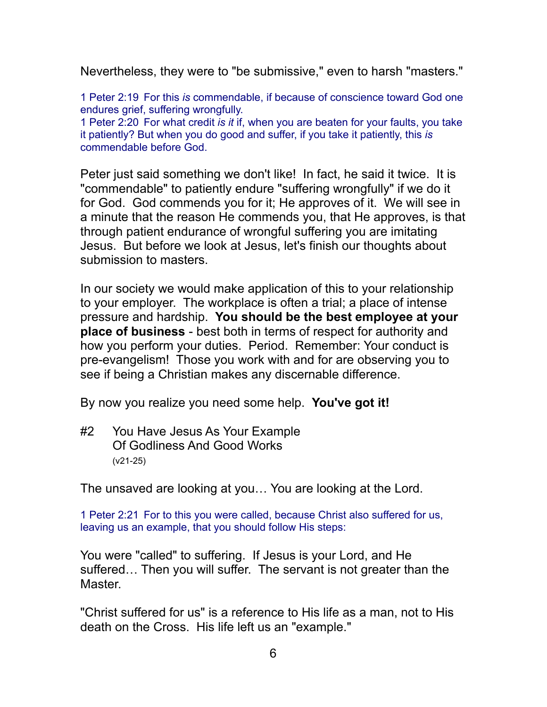Nevertheless, they were to "be submissive," even to harsh "masters."

1 Peter 2:19 For this *is* commendable, if because of conscience toward God one endures grief, suffering wrongfully.

1 Peter 2:20 For what credit *is it* if, when you are beaten for your faults, you take it patiently? But when you do good and suffer, if you take it patiently, this *is* commendable before God.

Peter just said something we don't like! In fact, he said it twice. It is "commendable" to patiently endure "suffering wrongfully" if we do it for God. God commends you for it; He approves of it. We will see in a minute that the reason He commends you, that He approves, is that through patient endurance of wrongful suffering you are imitating Jesus. But before we look at Jesus, let's finish our thoughts about submission to masters.

In our society we would make application of this to your relationship to your employer. The workplace is often a trial; a place of intense pressure and hardship. **You should be the best employee at your place of business** - best both in terms of respect for authority and how you perform your duties. Period. Remember: Your conduct is pre-evangelism! Those you work with and for are observing you to see if being a Christian makes any discernable difference.

By now you realize you need some help. **You've got it!**

#2 You Have Jesus As Your Example Of Godliness And Good Works (v21-25)

The unsaved are looking at you… You are looking at the Lord.

1 Peter 2:21 For to this you were called, because Christ also suffered for us, leaving us an example, that you should follow His steps:

You were "called" to suffering. If Jesus is your Lord, and He suffered… Then you will suffer. The servant is not greater than the Master.

"Christ suffered for us" is a reference to His life as a man, not to His death on the Cross. His life left us an "example."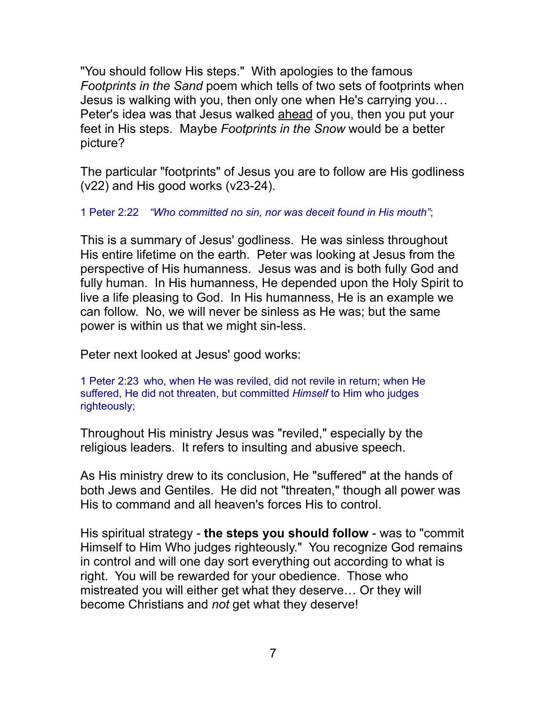"You should follow His steps." With apologies to the famous *Footprints in the Sand* poem which tells of two sets of footprints when Jesus is walking with you, then only one when He's carrying you… Peter's idea was that Jesus walked ahead of you, then you put your feet in His steps. Maybe *Footprints in the Snow* would be a better picture?

The particular "footprints" of Jesus you are to follow are His godliness (v22) and His good works (v23-24).

## 1 Peter 2:22 *"Who committed no sin, nor was deceit found in His mouth"*;

This is a summary of Jesus' godliness. He was sinless throughout His entire lifetime on the earth. Peter was looking at Jesus from the perspective of His humanness. Jesus was and is both fully God and fully human. In His humanness, He depended upon the Holy Spirit to live a life pleasing to God. In His humanness, He is an example we can follow. No, we will never be sinless as He was; but the same power is within us that we might sin-less.

Peter next looked at Jesus' good works:

1 Peter 2:23 who, when He was reviled, did not revile in return; when He suffered, He did not threaten, but committed *Himself* to Him who judges righteously;

Throughout His ministry Jesus was "reviled," especially by the religious leaders. It refers to insulting and abusive speech.

As His ministry drew to its conclusion, He "suffered" at the hands of both Jews and Gentiles. He did not "threaten," though all power was His to command and all heaven's forces His to control.

His spiritual strategy - **the steps you should follow** - was to "commit Himself to Him Who judges righteously." You recognize God remains in control and will one day sort everything out according to what is right. You will be rewarded for your obedience. Those who mistreated you will either get what they deserve… Or they will become Christians and *not* get what they deserve!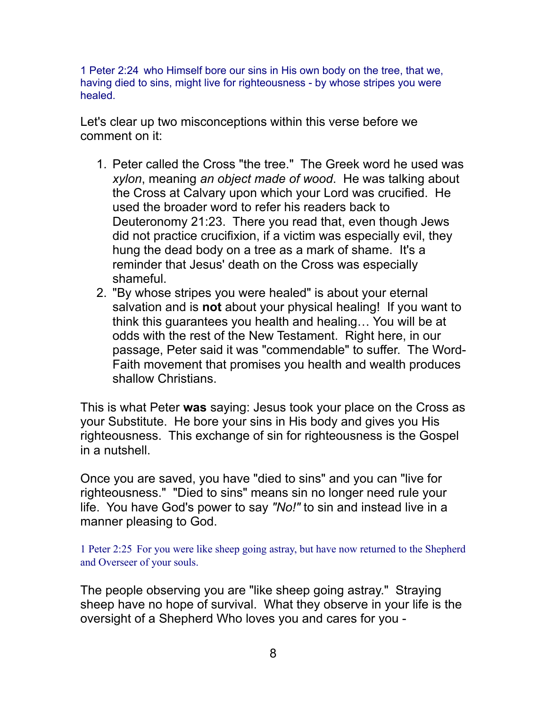1 Peter 2:24 who Himself bore our sins in His own body on the tree, that we, having died to sins, might live for righteousness - by whose stripes you were healed.

Let's clear up two misconceptions within this verse before we comment on it:

- 1. Peter called the Cross "the tree." The Greek word he used was *xylon*, meaning *an object made of wood*. He was talking about the Cross at Calvary upon which your Lord was crucified. He used the broader word to refer his readers back to Deuteronomy 21:23. There you read that, even though Jews did not practice crucifixion, if a victim was especially evil, they hung the dead body on a tree as a mark of shame. It's a reminder that Jesus' death on the Cross was especially shameful.
- 2. "By whose stripes you were healed" is about your eternal salvation and is **not** about your physical healing! If you want to think this guarantees you health and healing… You will be at odds with the rest of the New Testament. Right here, in our passage, Peter said it was "commendable" to suffer. The Word-Faith movement that promises you health and wealth produces shallow Christians.

This is what Peter **was** saying: Jesus took your place on the Cross as your Substitute. He bore your sins in His body and gives you His righteousness. This exchange of sin for righteousness is the Gospel in a nutshell.

Once you are saved, you have "died to sins" and you can "live for righteousness." "Died to sins" means sin no longer need rule your life. You have God's power to say *"No!"* to sin and instead live in a manner pleasing to God.

1 Peter 2:25 For you were like sheep going astray, but have now returned to the Shepherd and Overseer of your souls.

The people observing you are "like sheep going astray." Straying sheep have no hope of survival. What they observe in your life is the oversight of a Shepherd Who loves you and cares for you -